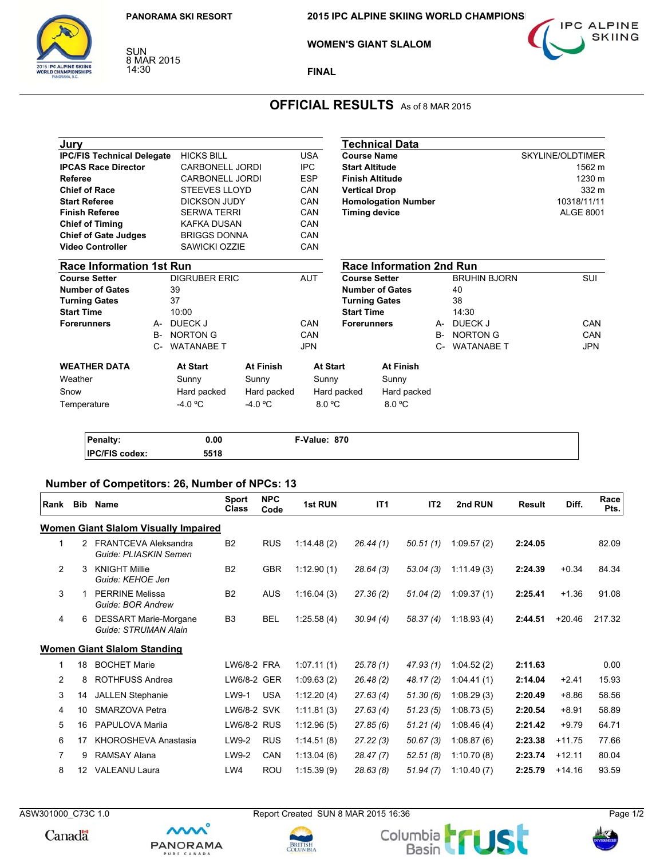SUN<br>8 MAR 2015 14:30



**WOMEN'S GIANT SLALOM** 



**FINAL**

# **OFFICIAL RESULTS** As of 8 MAR 2015

| Jury                              |       |                        |                  |            |                      |                        | Technical Data                  |                  |                     |                  |             |
|-----------------------------------|-------|------------------------|------------------|------------|----------------------|------------------------|---------------------------------|------------------|---------------------|------------------|-------------|
| <b>IPC/FIS Technical Delegate</b> |       | <b>HICKS BILL</b>      |                  | <b>USA</b> |                      | <b>Course Name</b>     |                                 |                  |                     | SKYLINE/OLDTIMER |             |
| <b>IPCAS Race Director</b>        |       | <b>CARBONELL JORDI</b> |                  | IPC        |                      | <b>Start Altitude</b>  |                                 |                  |                     |                  | 1562 m      |
| <b>Referee</b>                    |       | <b>CARBONELL JORDI</b> |                  | <b>ESP</b> |                      | <b>Finish Altitude</b> |                                 |                  |                     | 1230 m           |             |
| <b>Chief of Race</b>              |       | <b>STEEVES LLOYD</b>   |                  | CAN        |                      | <b>Vertical Drop</b>   |                                 |                  |                     |                  | 332 m       |
| <b>Start Referee</b>              |       | <b>DICKSON JUDY</b>    |                  | CAN        |                      |                        | <b>Homologation Number</b>      |                  |                     |                  | 10318/11/11 |
| <b>Finish Referee</b>             |       | <b>SERWA TERRI</b>     |                  | CAN        | <b>Timing device</b> |                        |                                 | <b>ALGE 8001</b> |                     |                  |             |
| <b>Chief of Timing</b>            |       | <b>KAFKA DUSAN</b>     |                  | CAN        |                      |                        |                                 |                  |                     |                  |             |
| <b>Chief of Gate Judges</b>       |       | <b>BRIGGS DONNA</b>    |                  | CAN        |                      |                        |                                 |                  |                     |                  |             |
| <b>Video Controller</b>           |       | SAWICKI OZZIE          |                  | CAN        |                      |                        |                                 |                  |                     |                  |             |
| <b>Race Information 1st Run</b>   |       |                        |                  |            |                      |                        | <b>Race Information 2nd Run</b> |                  |                     |                  |             |
| <b>Course Setter</b>              |       | <b>DIGRUBER ERIC</b>   |                  | AUT        |                      | <b>Course Setter</b>   |                                 |                  | <b>BRUHIN BJORN</b> |                  | SUI         |
| <b>Number of Gates</b>            |       | 39                     |                  |            |                      |                        | <b>Number of Gates</b>          |                  | 40                  |                  |             |
| <b>Turning Gates</b>              |       | 37                     |                  |            |                      | <b>Turning Gates</b>   |                                 |                  | 38                  |                  |             |
| <b>Start Time</b>                 |       | 10:00                  |                  |            |                      | <b>Start Time</b>      |                                 |                  | 14:30               |                  |             |
| <b>Forerunners</b>                | A-    | DUECK J                |                  | CAN        |                      | <b>Forerunners</b>     |                                 | A-               | DUECK J             |                  | CAN         |
|                                   | $B -$ | <b>NORTON G</b>        |                  | CAN        |                      |                        |                                 | <b>B-</b>        | <b>NORTON G</b>     |                  | CAN         |
|                                   | $C-$  | <b>WATANABE T</b>      |                  | <b>JPN</b> |                      |                        |                                 | $C-$             | <b>WATANABE T</b>   |                  | <b>JPN</b>  |
| <b>WEATHER DATA</b>               |       | At Start               | <b>At Finish</b> |            | <b>At Start</b>      |                        | <b>At Finish</b>                |                  |                     |                  |             |
| Weather                           |       | Sunny                  | Sunny            |            | Sunny                |                        | Sunny                           |                  |                     |                  |             |
| Snow                              |       | Hard packed            | Hard packed      |            | Hard packed          |                        | Hard packed                     |                  |                     |                  |             |
| Temperature                       |       | $-4.0 °C$              | $-4.0 °C$        |            | 8.0 °C               |                        | 8.0 °C                          |                  |                     |                  |             |
|                                   |       |                        |                  |            |                      |                        |                                 |                  |                     |                  |             |
|                                   |       |                        |                  |            |                      |                        |                                 |                  |                     |                  |             |

| analty:      | 0.00 | 870<br>™-Value: |  |
|--------------|------|-----------------|--|
| IP<br>codex: | 5518 |                 |  |

## **Number of Competitors: 26, Number of NPCs: 13**

mm

**PANORAMA** 

| Rank           | Bib | <b>Name</b>                                          | Sport<br><b>Class</b> | <b>NPC</b><br>Code | 1st RUN    | IT <sub>1</sub> | IT <sub>2</sub> | 2nd RUN    | <b>Result</b> | Diff.    | Race<br>Pts. |
|----------------|-----|------------------------------------------------------|-----------------------|--------------------|------------|-----------------|-----------------|------------|---------------|----------|--------------|
|                |     | <b>Women Giant Slalom Visually Impaired</b>          |                       |                    |            |                 |                 |            |               |          |              |
| 1              | 2   | <b>FRANTCEVA Aleksandra</b><br>Guide: PLIASKIN Semen | <b>B2</b>             | <b>RUS</b>         | 1:14.48(2) | 26.44(1)        | 50.51(1)        | 1:09.57(2) | 2:24.05       |          | 82.09        |
| $\overline{2}$ | 3   | <b>KNIGHT Millie</b><br>Guide: KEHOE Jen             | <b>B2</b>             | <b>GBR</b>         | 1:12.90(1) | 28.64(3)        | 53.04(3)        | 1:11.49(3) | 2:24.39       | $+0.34$  | 84.34        |
| 3              |     | <b>PERRINE Melissa</b><br>Guide: BOR Andrew          | <b>B2</b>             | <b>AUS</b>         | 1:16.04(3) | 27.36(2)        | 51.04(2)        | 1:09.37(1) | 2:25.41       | $+1.36$  | 91.08        |
| $\overline{4}$ | 6   | <b>DESSART Marie-Morgane</b><br>Guide: STRUMAN Alain | B <sub>3</sub>        | <b>BEL</b>         | 1:25.58(4) | 30.94(4)        | 58.37 (4)       | 1:18.93(4) | 2:44.51       | $+20.46$ | 217.32       |
|                |     | <b>Women Giant Slalom Standing</b>                   |                       |                    |            |                 |                 |            |               |          |              |
|                | 18  | <b>BOCHET Marie</b>                                  | LW6/8-2 FRA           |                    | 1:07.11(1) | 25.78(1)        | 47.93(1)        | 1:04.52(2) | 2:11.63       |          | 0.00         |
| 2              | 8   | ROTHFUSS Andrea                                      | LW6/8-2 GER           |                    | 1:09.63(2) | 26.48(2)        | 48.17 (2)       | 1:04.41(1) | 2:14.04       | $+2.41$  | 15.93        |
| 3              | 14  | <b>JALLEN Stephanie</b>                              | LW9-1                 | <b>USA</b>         | 1:12.20(4) | 27.63(4)        | 51.30(6)        | 1:08.29(3) | 2:20.49       | $+8.86$  | 58.56        |
| $\overline{4}$ | 10  | SMARZOVA Petra                                       | LW6/8-2 SVK           |                    | 1:11.81(3) | 27.63(4)        | 51.23(5)        | 1:08.73(5) | 2:20.54       | $+8.91$  | 58.89        |
| 5              | 16  | PAPULOVA Marija                                      | LW6/8-2 RUS           |                    | 1:12.96(5) | 27.85(6)        | 51.21(4)        | 1:08.46(4) | 2:21.42       | $+9.79$  | 64.71        |
| 6              | 17  | KHOROSHEVA Anastasia                                 | LW9-2                 | <b>RUS</b>         | 1:14.51(8) | 27.22(3)        | 50.67(3)        | 1:08.87(6) | 2:23.38       | $+11.75$ | 77.66        |
| $\overline{7}$ | 9   | RAMSAY Alana                                         | LW9-2                 | CAN                | 1:13.04(6) | 28.47(7)        | 52.51(8)        | 1:10.70(8) | 2:23.74       | $+12.11$ | 80.04        |
| 8              | 12  | <b>VALEANU Laura</b>                                 | LW4                   | <b>ROU</b>         | 1:15.39(9) | 28.63(8)        | 51.94(7)        | 1:10.40(7) | 2:25.79       | $+14.16$ | 93.59        |

Canadä

ASW301000\_C73C 1.0 Report Created SUN 8 MAR 2015 16:36 Page 1/2





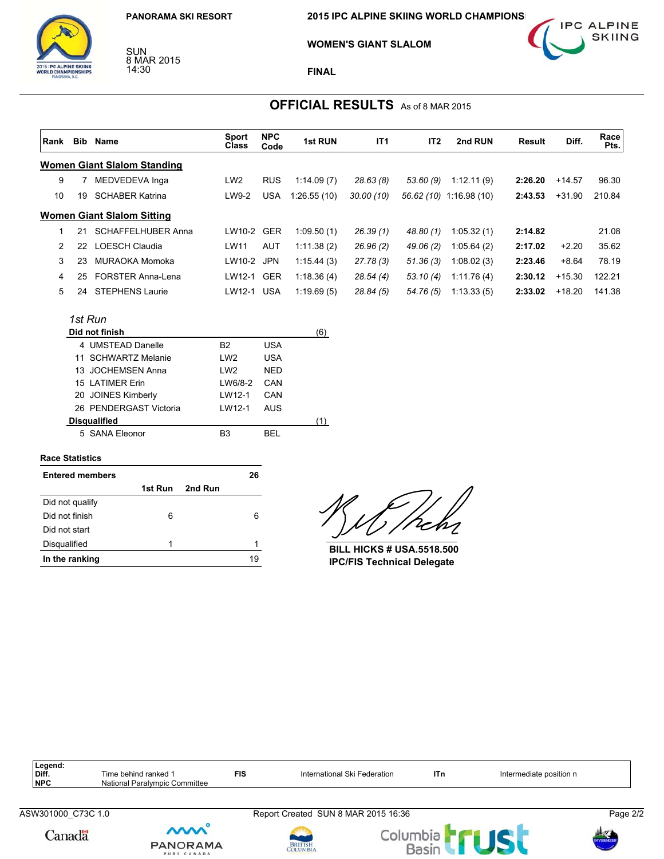SUN<br>8 MAR 2015 14:30

**2015 IPC ALPINE SKIING WORLD CHAMPIONS** 



**WOMEN'S GIANT SLALOM** 

**FINAL**

## **OFFICIAL RESULTS** As of 8 MAR 2015

| Rank           | Bib     | Name                        | <b>Sport</b><br>Class | <b>NPC</b><br>Code | 1st RUN     | IT <sub>1</sub> | IT <sub>2</sub> | 2nd RUN                 | Result  | Diff.    | Race<br>Pts. |
|----------------|---------|-----------------------------|-----------------------|--------------------|-------------|-----------------|-----------------|-------------------------|---------|----------|--------------|
|                |         | Women Giant Slalom Standing |                       |                    |             |                 |                 |                         |         |          |              |
| 9              |         | MEDVEDEVA Inga              | LW <sub>2</sub>       | <b>RUS</b>         | 1:14.09(7)  | 28.63(8)        | 53.60 (9)       | 1:12.11(9)              | 2:26.20 | $+14.57$ | 96.30        |
| 10             | 19      | <b>SCHABER Katrina</b>      | LW9-2                 | <b>USA</b>         | 1:26.55(10) | 30.00 (10)      |                 | 56.62 (10) 1:16.98 (10) | 2:43.53 | $+31.90$ | 210.84       |
|                |         | Women Giant Slalom Sitting  |                       |                    |             |                 |                 |                         |         |          |              |
| 1              | 21      | <b>SCHAFFELHUBER Anna</b>   | LW10-2                | GER                | 1:09.50(1)  | 26.39(1)        | 48.80 (1)       | 1:05.32(1)              | 2:14.82 |          | 21.08        |
| $\overline{2}$ | 22.     | LOESCH Claudia              | LW11                  | <b>AUT</b>         | 1:11.38(2)  | 26.96(2)        | 49.06 (2)       | 1:05.64(2)              | 2:17.02 | $+2.20$  | 35.62        |
| 3              | 23      | MURAOKA Momoka              | LW10-2 JPN            |                    | 1:15.44(3)  | 27.78 (3)       | 51.36(3)        | 1:08.02(3)              | 2:23.46 | $+8.64$  | 78.19        |
| 4              | 25      | <b>FORSTER Anna-Lena</b>    | LW12-1                | GER                | 1:18.36(4)  | 28.54(4)        | 53.10 (4)       | 1:11.76(4)              | 2:30.12 | $+15.30$ | 122.21       |
| 5              | 24      | <b>STEPHENS Laurie</b>      | LW12-1                | <b>USA</b>         | 1:19.69(5)  | 28.84(5)        | 54.76 (5)       | 1:13.33(5)              | 2:33.02 | $+18.20$ | 141.38       |
|                | 1st Run |                             |                       |                    |             |                 |                 |                         |         |          |              |
|                |         | Did not finish              |                       |                    | (6)         |                 |                 |                         |         |          |              |

| וופווווו וטוש          |                     |            | ו ט |
|------------------------|---------------------|------------|-----|
| 4 UMSTEAD Danelle      | B2                  | USA        |     |
| 11 SCHWARTZ Melanie    | LW <sub>2</sub>     | <b>USA</b> |     |
| 13 JOCHEMSEN Anna      | LW <sub>2</sub>     | <b>NED</b> |     |
| 15 LATIMER Erin        | LW6/8-2             | CAN        |     |
| 20 JOINES Kimberly     | I W <sub>12-1</sub> | CAN        |     |
| 26 PENDERGAST Victoria | I W12-1             | AUS        |     |
| <b>Disqualified</b>    |                     |            |     |
| 5 SANA Eleonor         | B <sub>3</sub>      | RFI        |     |
|                        |                     |            |     |

#### **Race Statistics**

| <b>Entered members</b> |   |                 | 26 |
|------------------------|---|-----------------|----|
|                        |   | 1st Run 2nd Run |    |
| Did not qualify        |   |                 |    |
| Did not finish         | 6 |                 | 6  |
| Did not start          |   |                 |    |
| Disqualified           | 1 |                 | 1  |
| In the ranking         |   |                 | 19 |

 $\overline{\mathcal{L}}$ 

**BILL HICKS # USA.5518.500 IPC/FIS Technical Delegate**

| Legend:<br>Diff.<br><b>NPC</b> | Time behind ranked 1<br>National Paralympic Committee | <b>FIS</b> | International Ski Federation                    | ITn      | Intermediate position n |              |
|--------------------------------|-------------------------------------------------------|------------|-------------------------------------------------|----------|-------------------------|--------------|
| ASW301000 C73C 1.0             |                                                       |            | Report Created SUN 8 MAR 2015 16:36             |          |                         | Page 2/2     |
| Canadä                         | <b>MM</b><br><b>PANORAMA</b><br>PURE CANADA           |            | <b>The Second</b><br><b>BRITISH</b><br>COLUMBIA | Columbia |                         | <b>ILLES</b> |